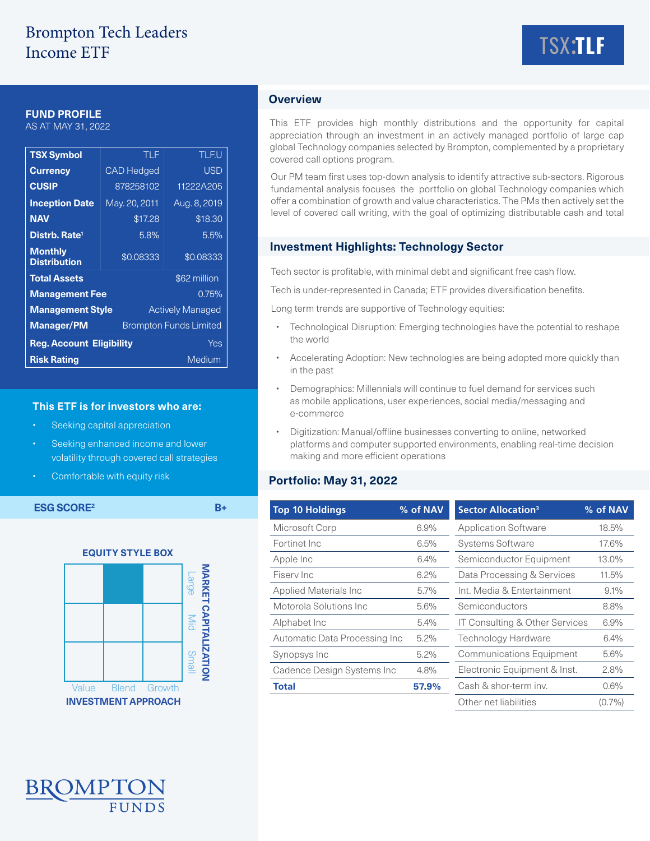# Brompton Tech Leaders Income ETF



### **FUND PROFILE**

AS AT MAY 31, 2022

| <b>TSX Symbol</b>                                  | TLF               | <b>TLF.U</b> |  |  |
|----------------------------------------------------|-------------------|--------------|--|--|
| <b>Currency</b>                                    | <b>CAD Hedged</b> | <b>USD</b>   |  |  |
| <b>CUSIP</b>                                       | 878258102         | 11222A205    |  |  |
| <b>Inception Date</b>                              | May. 20, 2011     | Aug. 8, 2019 |  |  |
| <b>NAV</b>                                         | \$17.28           | \$18.30      |  |  |
| Distrb. Rate <sup>1</sup>                          | 5.8%              | 5.5%         |  |  |
| <b>Monthly</b><br><b>Distribution</b>              | \$0.08333         | \$0.08333    |  |  |
| <b>Total Assets</b><br>\$62 million                |                   |              |  |  |
| <b>Management Fee</b><br>0.75%                     |                   |              |  |  |
| <b>Management Style</b><br><b>Actively Managed</b> |                   |              |  |  |
| <b>Manager/PM</b><br><b>Brompton Funds Limited</b> |                   |              |  |  |
| <b>Reg. Account Eligibility</b><br>Yes             |                   |              |  |  |
| <b>Risk Rating</b><br>Medium                       |                   |              |  |  |

#### **This ETF is for investors who are:**

- Seeking capital appreciation
- Seeking enhanced income and lower volatility through covered call strategies
- Comfortable with equity risk



## **Overview**

This ETF provides high monthly distributions and the opportunity for capital appreciation through an investment in an actively managed portfolio of large cap global Technology companies selected by Brompton, complemented by a proprietary covered call options program.

Our PM team first uses top-down analysis to identify attractive sub-sectors. Rigorous fundamental analysis focuses the portfolio on global Technology companies which offer a combination of growth and value characteristics. The PMs then actively set the level of covered call writing, with the goal of optimizing distributable cash and total

### **Investment Highlights: Technology Sector**

Tech sector is profitable, with minimal debt and significant free cash flow.

Tech is under-represented in Canada; ETF provides diversification benefits.

Long term trends are supportive of Technology equities:

- Technological Disruption: Emerging technologies have the potential to reshape the world
- Accelerating Adoption: New technologies are being adopted more quickly than in the past
- Demographics: Millennials will continue to fuel demand for services such as mobile applications, user experiences, social media/messaging and e-commerce
- Digitization: Manual/offline businesses converting to online, networked platforms and computer supported environments, enabling real-time decision making and more efficient operations

### **Portfolio: May 31, 2022**

| <b>ESG SCORE<sup>2</sup></b> |              |        | $B+$                           |         | <b>Top 10 Holdings</b>     | % of NAV | <b>Sector Allocation<sup>3</sup></b>      | % of NAV  |
|------------------------------|--------------|--------|--------------------------------|---------|----------------------------|----------|-------------------------------------------|-----------|
|                              |              |        |                                |         | Microsoft Corp             | 6.9%     | <b>Application Software</b>               | 18.5%     |
|                              |              |        |                                |         | Fortinet Inc               | 6.5%     | <b>Systems Software</b>                   | 17.6%     |
| <b>EQUITY STYLE BOX</b>      |              |        |                                |         | Apple Inc                  | 6.4%     | Semiconductor Equipment                   | 13.0%     |
|                              |              |        | NARKE                          |         | Fisery Inc                 | 6.2%     | Data Processing & Services                | 11.5%     |
|                              |              |        | <b>Large</b>                   |         | Applied Materials Inc      | $5.7\%$  | Int. Media & Entertainment                | 9.1%      |
| ຕ                            |              |        | Motorola Solutions Inc<br>5.6% |         | Semiconductors             | 8.8%     |                                           |           |
|                              |              |        | <b>APIT</b><br>Mid             |         | Alphabet Inc               | 5.4%     | <b>IT Consulting &amp; Other Services</b> | 6.9%      |
|                              |              |        | Automatic Data Processing Inc  | $5.2\%$ | <b>Technology Hardware</b> | 6.4%     |                                           |           |
|                              |              |        |                                |         | Synopsys Inc               | 5.2%     | <b>Communications Equipment</b>           | 5.6%      |
|                              |              |        | <b>ZATION</b><br><b>Small</b>  |         | Cadence Design Systems Inc | 4.8%     | Electronic Equipment & Inst.              | 2.8%      |
| Value                        | <b>Blend</b> | Growth |                                |         | <b>Total</b>               | 57.9%    | Cash & shor-term inv.                     | 0.6%      |
| <b>INVESTMENT APPROACH</b>   |              |        |                                |         |                            |          | Other net liabilities                     | $(0.7\%)$ |